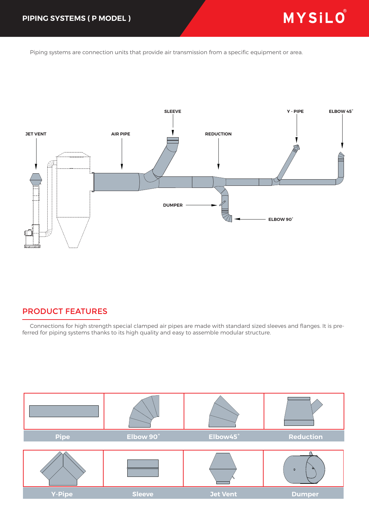Piping systems are connection units that provide air transmission from a specific equipment or area.



## PRODUCT FEATURES

 Connections for high strength special clamped air pipes are made with standard sized sleeves and flanges. It is preferred for piping systems thanks to its high quality and easy to assemble modular structure.